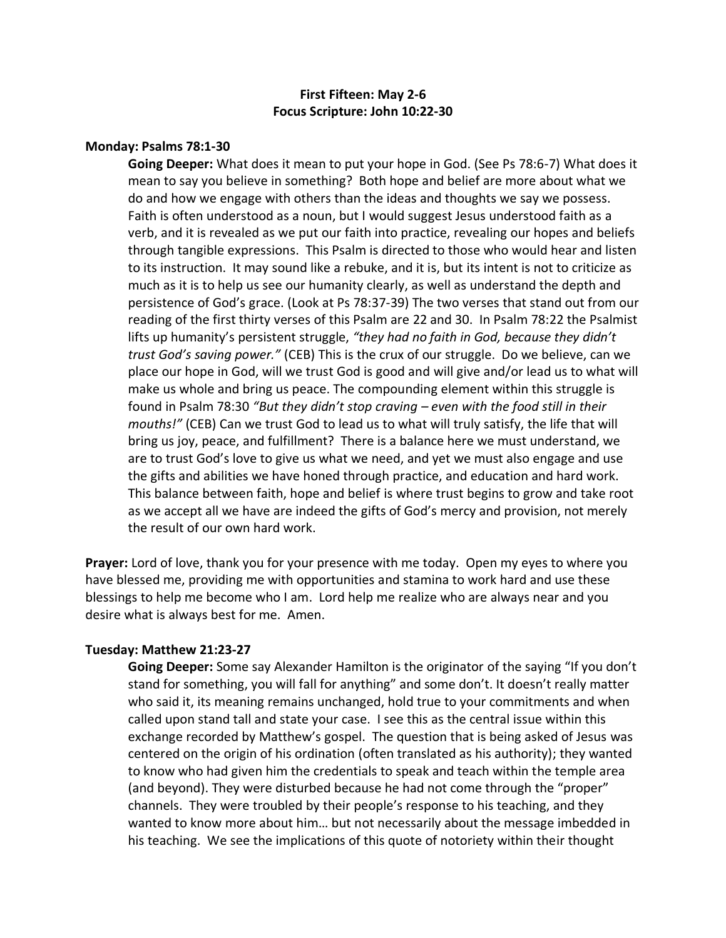# **First Fifteen: May 2-6 Focus Scripture: John 10:22-30**

#### **Monday: Psalms 78:1-30**

**Going Deeper:** What does it mean to put your hope in God. (See Ps 78:6-7) What does it mean to say you believe in something? Both hope and belief are more about what we do and how we engage with others than the ideas and thoughts we say we possess. Faith is often understood as a noun, but I would suggest Jesus understood faith as a verb, and it is revealed as we put our faith into practice, revealing our hopes and beliefs through tangible expressions. This Psalm is directed to those who would hear and listen to its instruction. It may sound like a rebuke, and it is, but its intent is not to criticize as much as it is to help us see our humanity clearly, as well as understand the depth and persistence of God's grace. (Look at Ps 78:37-39) The two verses that stand out from our reading of the first thirty verses of this Psalm are 22 and 30. In Psalm 78:22 the Psalmist lifts up humanity's persistent struggle, *"they had no faith in God, because they didn't trust God's saving power."* (CEB) This is the crux of our struggle. Do we believe, can we place our hope in God, will we trust God is good and will give and/or lead us to what will make us whole and bring us peace. The compounding element within this struggle is found in Psalm 78:30 *"But they didn't stop craving – even with the food still in their mouths!"* (CEB) Can we trust God to lead us to what will truly satisfy, the life that will bring us joy, peace, and fulfillment? There is a balance here we must understand, we are to trust God's love to give us what we need, and yet we must also engage and use the gifts and abilities we have honed through practice, and education and hard work. This balance between faith, hope and belief is where trust begins to grow and take root as we accept all we have are indeed the gifts of God's mercy and provision, not merely the result of our own hard work.

**Prayer:** Lord of love, thank you for your presence with me today. Open my eyes to where you have blessed me, providing me with opportunities and stamina to work hard and use these blessings to help me become who I am. Lord help me realize who are always near and you desire what is always best for me. Amen.

#### **Tuesday: Matthew 21:23-27**

**Going Deeper:** Some say Alexander Hamilton is the originator of the saying "If you don't stand for something, you will fall for anything" and some don't. It doesn't really matter who said it, its meaning remains unchanged, hold true to your commitments and when called upon stand tall and state your case. I see this as the central issue within this exchange recorded by Matthew's gospel. The question that is being asked of Jesus was centered on the origin of his ordination (often translated as his authority); they wanted to know who had given him the credentials to speak and teach within the temple area (and beyond). They were disturbed because he had not come through the "proper" channels. They were troubled by their people's response to his teaching, and they wanted to know more about him… but not necessarily about the message imbedded in his teaching. We see the implications of this quote of notoriety within their thought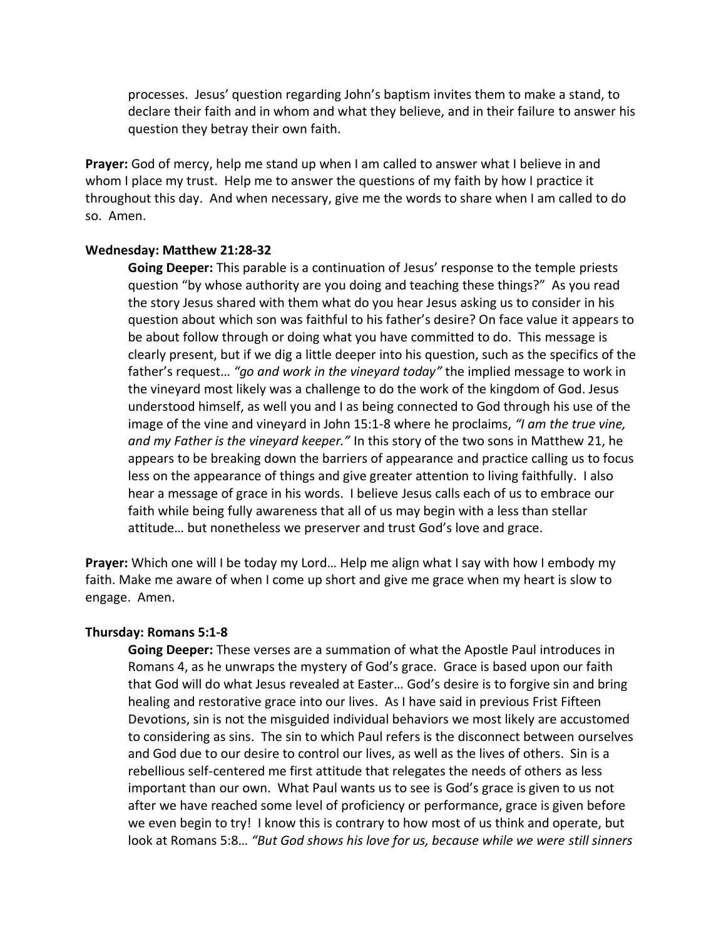processes. Jesus' question regarding John's baptism invites them to make a stand, to declare their faith and in whom and what they believe, and in their failure to answer his question they betray their own faith.

**Prayer:** God of mercy, help me stand up when I am called to answer what I believe in and whom I place my trust. Help me to answer the questions of my faith by how I practice it throughout this day. And when necessary, give me the words to share when I am called to do so. Amen.

### **Wednesday: Matthew 21:28-32**

**Going Deeper:** This parable is a continuation of Jesus' response to the temple priests question "by whose authority are you doing and teaching these things?" As you read the story Jesus shared with them what do you hear Jesus asking us to consider in his question about which son was faithful to his father's desire? On face value it appears to be about follow through or doing what you have committed to do. This message is clearly present, but if we dig a little deeper into his question, such as the specifics of the father's request… *"go and work in the vineyard today"* the implied message to work in the vineyard most likely was a challenge to do the work of the kingdom of God. Jesus understood himself, as well you and I as being connected to God through his use of the image of the vine and vineyard in John 15:1-8 where he proclaims, *"I am the true vine, and my Father is the vineyard keeper."* In this story of the two sons in Matthew 21, he appears to be breaking down the barriers of appearance and practice calling us to focus less on the appearance of things and give greater attention to living faithfully. I also hear a message of grace in his words. I believe Jesus calls each of us to embrace our faith while being fully awareness that all of us may begin with a less than stellar attitude… but nonetheless we preserver and trust God's love and grace.

**Prayer:** Which one will I be today my Lord… Help me align what I say with how I embody my faith. Make me aware of when I come up short and give me grace when my heart is slow to engage. Amen.

## **Thursday: Romans 5:1-8**

**Going Deeper:** These verses are a summation of what the Apostle Paul introduces in Romans 4, as he unwraps the mystery of God's grace. Grace is based upon our faith that God will do what Jesus revealed at Easter… God's desire is to forgive sin and bring healing and restorative grace into our lives. As I have said in previous Frist Fifteen Devotions, sin is not the misguided individual behaviors we most likely are accustomed to considering as sins. The sin to which Paul refers is the disconnect between ourselves and God due to our desire to control our lives, as well as the lives of others. Sin is a rebellious self-centered me first attitude that relegates the needs of others as less important than our own. What Paul wants us to see is God's grace is given to us not after we have reached some level of proficiency or performance, grace is given before we even begin to try! I know this is contrary to how most of us think and operate, but look at Romans 5:8… *"But God shows his love for us, because while we were still sinners*